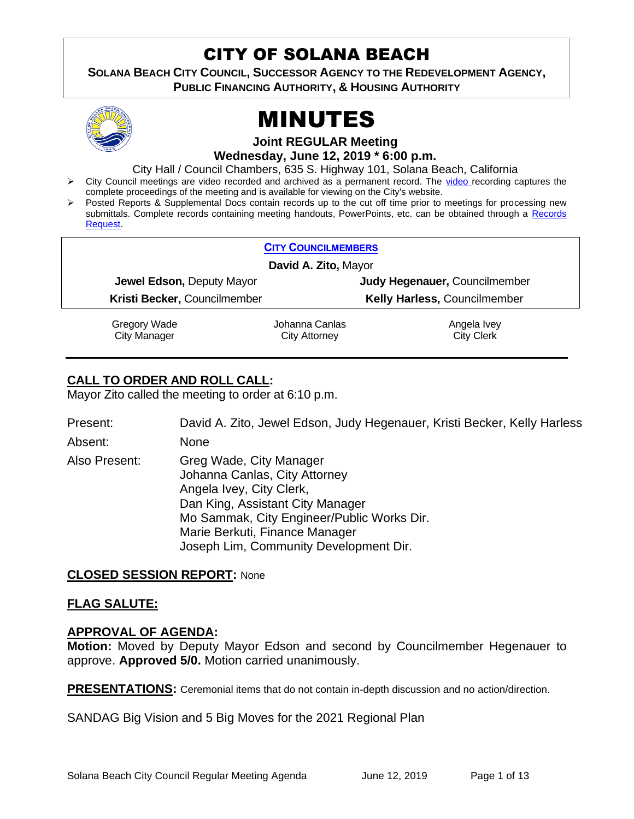# CITY OF SOLANA BEACH

**SOLANA BEACH CITY COUNCIL, SUCCESSOR AGENCY TO THE REDEVELOPMENT AGENCY, PUBLIC FINANCING AUTHORITY, & HOUSING AUTHORITY** 



# MINUTES

**Joint REGULAR Meeting**

**Wednesday, June 12, 2019 \* 6:00 p.m.**

City Hall / Council Chambers, 635 S. Highway 101, Solana Beach, California

- ➢ City Council meetings are video recorded and archived as a permanent record. The [video r](https://solanabeach.12milesout.com/#page=1)ecording captures the complete proceedings of the meeting and is available for viewing on the City's website.
- Posted Reports & Supplemental Docs contain records up to the cut off time prior to meetings for processing new submittals. Complete records containing meeting handouts, PowerPoints, etc. can be obtained through a Records [Request.](http://www.ci.solana-beach.ca.us/index.asp?SEC=F5D45D10-70CE-4291-A27C-7BD633FC6742&Type=B_BASIC)

| <b>CITY COUNCILMEMBERS</b>   |                |                               |
|------------------------------|----------------|-------------------------------|
| David A. Zito, Mayor         |                |                               |
| Jewel Edson, Deputy Mayor    |                | Judy Hegenauer, Councilmember |
| Kristi Becker, Councilmember |                | Kelly Harless, Councilmember  |
| Gregory Wade                 | Johanna Canlas | Angela Ivey                   |
| <b>City Manager</b>          | City Attorney  | <b>City Clerk</b>             |

# **CALL TO ORDER AND ROLL CALL:**

Mayor Zito called the meeting to order at 6:10 p.m.

Present: David A. Zito, Jewel Edson, Judy Hegenauer, Kristi Becker, Kelly Harless

Absent: None

Also Present: Greg Wade, City Manager Johanna Canlas, City Attorney Angela Ivey, City Clerk, Dan King, Assistant City Manager Mo Sammak, City Engineer/Public Works Dir. Marie Berkuti, Finance Manager Joseph Lim, Community Development Dir.

# **CLOSED SESSION REPORT:** None

# **FLAG SALUTE:**

#### **APPROVAL OF AGENDA:**

**Motion:** Moved by Deputy Mayor Edson and second by Councilmember Hegenauer to approve. **Approved 5/0.** Motion carried unanimously.

**PRESENTATIONS:** Ceremonial items that do not contain in-depth discussion and no action/direction.

SANDAG Big Vision and 5 Big Moves for the 2021 Regional Plan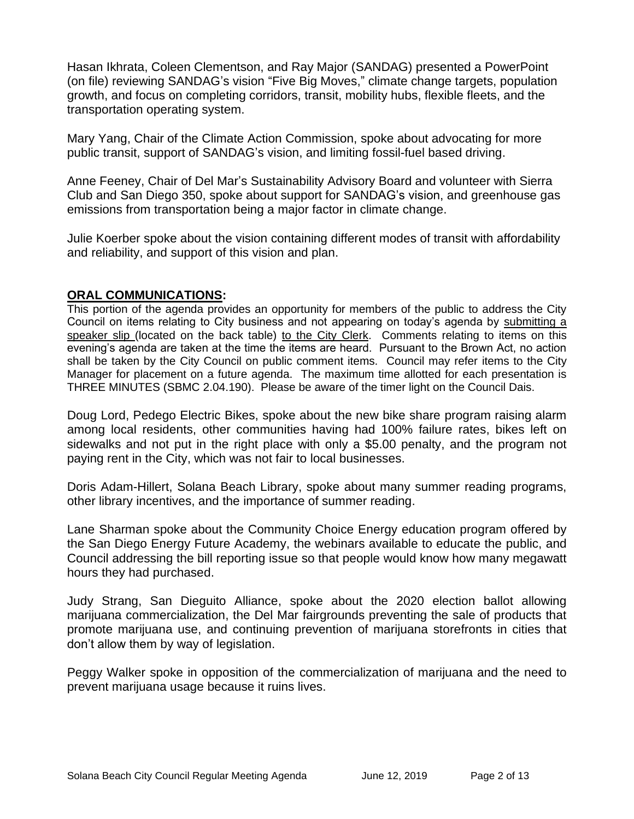Hasan Ikhrata, Coleen Clementson, and Ray Major (SANDAG) presented a PowerPoint (on file) reviewing SANDAG's vision "Five Big Moves," climate change targets, population growth, and focus on completing corridors, transit, mobility hubs, flexible fleets, and the transportation operating system.

Mary Yang, Chair of the Climate Action Commission, spoke about advocating for more public transit, support of SANDAG's vision, and limiting fossil-fuel based driving.

Anne Feeney, Chair of Del Mar's Sustainability Advisory Board and volunteer with Sierra Club and San Diego 350, spoke about support for SANDAG's vision, and greenhouse gas emissions from transportation being a major factor in climate change.

Julie Koerber spoke about the vision containing different modes of transit with affordability and reliability, and support of this vision and plan.

#### **ORAL COMMUNICATIONS:**

This portion of the agenda provides an opportunity for members of the public to address the City Council on items relating to City business and not appearing on today's agenda by submitting a speaker slip (located on the back table) to the City Clerk. Comments relating to items on this evening's agenda are taken at the time the items are heard. Pursuant to the Brown Act, no action shall be taken by the City Council on public comment items. Council may refer items to the City Manager for placement on a future agenda. The maximum time allotted for each presentation is THREE MINUTES (SBMC 2.04.190). Please be aware of the timer light on the Council Dais.

Doug Lord, Pedego Electric Bikes, spoke about the new bike share program raising alarm among local residents, other communities having had 100% failure rates, bikes left on sidewalks and not put in the right place with only a \$5.00 penalty, and the program not paying rent in the City, which was not fair to local businesses.

Doris Adam-Hillert, Solana Beach Library, spoke about many summer reading programs, other library incentives, and the importance of summer reading.

Lane Sharman spoke about the Community Choice Energy education program offered by the San Diego Energy Future Academy, the webinars available to educate the public, and Council addressing the bill reporting issue so that people would know how many megawatt hours they had purchased.

Judy Strang, San Dieguito Alliance, spoke about the 2020 election ballot allowing marijuana commercialization, the Del Mar fairgrounds preventing the sale of products that promote marijuana use, and continuing prevention of marijuana storefronts in cities that don't allow them by way of legislation.

Peggy Walker spoke in opposition of the commercialization of marijuana and the need to prevent marijuana usage because it ruins lives.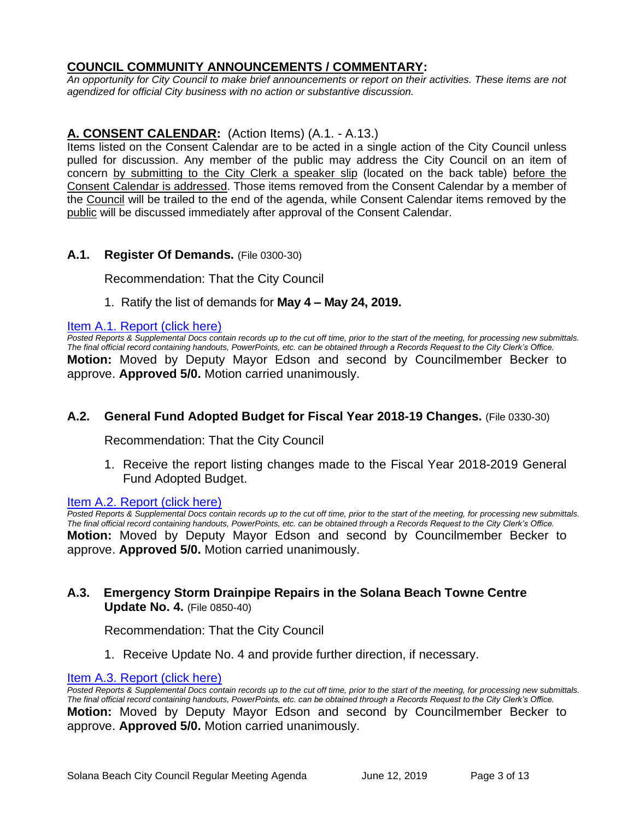# **COUNCIL COMMUNITY ANNOUNCEMENTS / COMMENTARY:**

*An opportunity for City Council to make brief announcements or report on their activities. These items are not agendized for official City business with no action or substantive discussion.* 

# **A. CONSENT CALENDAR:** (Action Items) (A.1. - A.13.)

Items listed on the Consent Calendar are to be acted in a single action of the City Council unless pulled for discussion. Any member of the public may address the City Council on an item of concern by submitting to the City Clerk a speaker slip (located on the back table) before the Consent Calendar is addressed. Those items removed from the Consent Calendar by a member of the Council will be trailed to the end of the agenda, while Consent Calendar items removed by the public will be discussed immediately after approval of the Consent Calendar.

# **A.1. Register Of Demands.** (File 0300-30)

Recommendation: That the City Council

1. Ratify the list of demands for **May 4 – May 24, 2019.**

#### [Item A.1. Report \(click here\)](https://solanabeach.govoffice3.com/vertical/Sites/%7B840804C2-F869-4904-9AE3-720581350CE7%7D/uploads/Item_A.1._Report_(click_here)_06-12-19_-_O.pdf)

*Posted Reports & Supplemental Docs contain records up to the cut off time, prior to the start of the meeting, for processing new submittals. The final official record containing handouts, PowerPoints, etc. can be obtained through a Records Request to the City Clerk's Office.* **Motion:** Moved by Deputy Mayor Edson and second by Councilmember Becker to approve. **Approved 5/0.** Motion carried unanimously.

# **A.2. General Fund Adopted Budget for Fiscal Year 2018-19 Changes.** (File 0330-30)

Recommendation: That the City Council

1. Receive the report listing changes made to the Fiscal Year 2018-2019 General Fund Adopted Budget.

#### [Item A.2. Report \(click here\)](https://solanabeach.govoffice3.com/vertical/Sites/%7B840804C2-F869-4904-9AE3-720581350CE7%7D/uploads/Item_A.2._Report_(click_here)_06-12-19_-_O.pdf)

*Posted Reports & Supplemental Docs contain records up to the cut off time, prior to the start of the meeting, for processing new submittals. The final official record containing handouts, PowerPoints, etc. can be obtained through a Records Request to the City Clerk's Office.* **Motion:** Moved by Deputy Mayor Edson and second by Councilmember Becker to approve. **Approved 5/0.** Motion carried unanimously.

# **A.3. Emergency Storm Drainpipe Repairs in the Solana Beach Towne Centre Update No. 4.** (File 0850-40)

Recommendation: That the City Council

1. Receive Update No. 4 and provide further direction, if necessary.

#### [Item A.3. Report \(click here\)](https://solanabeach.govoffice3.com/vertical/Sites/%7B840804C2-F869-4904-9AE3-720581350CE7%7D/uploads/Item_A.3._Report_(click_here)_06-12-19_-_O.pdf)

*Posted Reports & Supplemental Docs contain records up to the cut off time, prior to the start of the meeting, for processing new submittals. The final official record containing handouts, PowerPoints, etc. can be obtained through a Records Request to the City Clerk's Office.* **Motion:** Moved by Deputy Mayor Edson and second by Councilmember Becker to approve. **Approved 5/0.** Motion carried unanimously.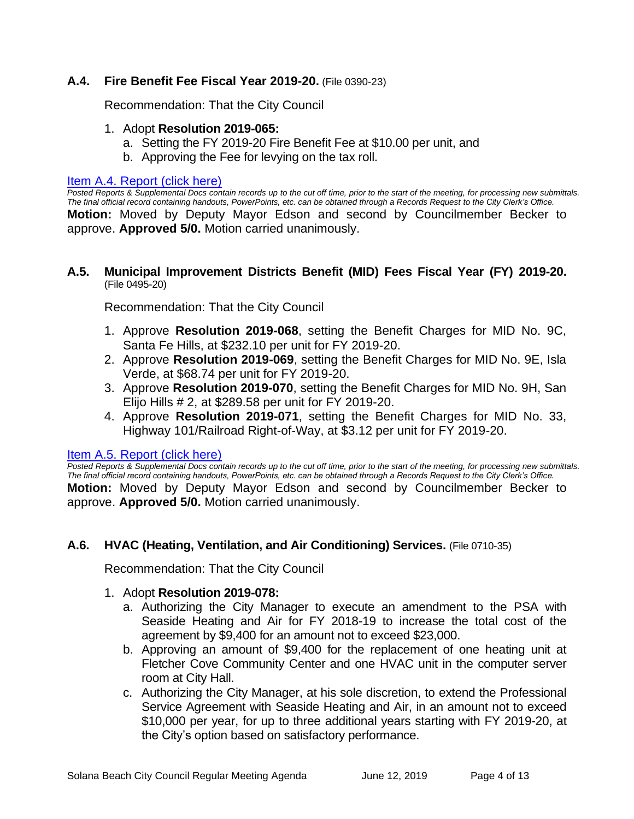# **A.4. Fire Benefit Fee Fiscal Year 2019-20.** (File 0390-23)

Recommendation: That the City Council

- 1. Adopt **Resolution 2019-065:**
	- a. Setting the FY 2019-20 Fire Benefit Fee at \$10.00 per unit, and
	- b. Approving the Fee for levying on the tax roll.

#### [Item A.4. Report \(click here\)](https://solanabeach.govoffice3.com/vertical/Sites/%7B840804C2-F869-4904-9AE3-720581350CE7%7D/uploads/Item_A.4._Report_(click_here)_06-12-19_-_O.pdf)

*Posted Reports & Supplemental Docs contain records up to the cut off time, prior to the start of the meeting, for processing new submittals. The final official record containing handouts, PowerPoints, etc. can be obtained through a Records Request to the City Clerk's Office.* **Motion:** Moved by Deputy Mayor Edson and second by Councilmember Becker to approve. **Approved 5/0.** Motion carried unanimously.

#### **A.5. Municipal Improvement Districts Benefit (MID) Fees Fiscal Year (FY) 2019-20.** (File 0495-20)

Recommendation: That the City Council

- 1. Approve **Resolution 2019-068**, setting the Benefit Charges for MID No. 9C, Santa Fe Hills, at \$232.10 per unit for FY 2019-20.
- 2. Approve **Resolution 2019-069**, setting the Benefit Charges for MID No. 9E, Isla Verde, at \$68.74 per unit for FY 2019-20.
- 3. Approve **Resolution 2019-070**, setting the Benefit Charges for MID No. 9H, San Elijo Hills # 2, at \$289.58 per unit for FY 2019-20.
- 4. Approve **Resolution 2019-071**, setting the Benefit Charges for MID No. 33, Highway 101/Railroad Right-of-Way, at \$3.12 per unit for FY 2019-20.

#### [Item A.5. Report \(click here\)](https://solanabeach.govoffice3.com/vertical/Sites/%7B840804C2-F869-4904-9AE3-720581350CE7%7D/uploads/Item_A.5._Report_(click_here)_06-12-19_-_O.pdf)

*Posted Reports & Supplemental Docs contain records up to the cut off time, prior to the start of the meeting, for processing new submittals. The final official record containing handouts, PowerPoints, etc. can be obtained through a Records Request to the City Clerk's Office.* **Motion:** Moved by Deputy Mayor Edson and second by Councilmember Becker to approve. **Approved 5/0.** Motion carried unanimously.

# **A.6. HVAC (Heating, Ventilation, and Air Conditioning) Services.** (File 0710-35)

Recommendation: That the City Council

#### 1. Adopt **Resolution 2019-078:**

- a. Authorizing the City Manager to execute an amendment to the PSA with Seaside Heating and Air for FY 2018-19 to increase the total cost of the agreement by \$9,400 for an amount not to exceed \$23,000.
- b. Approving an amount of \$9,400 for the replacement of one heating unit at Fletcher Cove Community Center and one HVAC unit in the computer server room at City Hall.
- c. Authorizing the City Manager, at his sole discretion, to extend the Professional Service Agreement with Seaside Heating and Air, in an amount not to exceed \$10,000 per year, for up to three additional years starting with FY 2019-20, at the City's option based on satisfactory performance.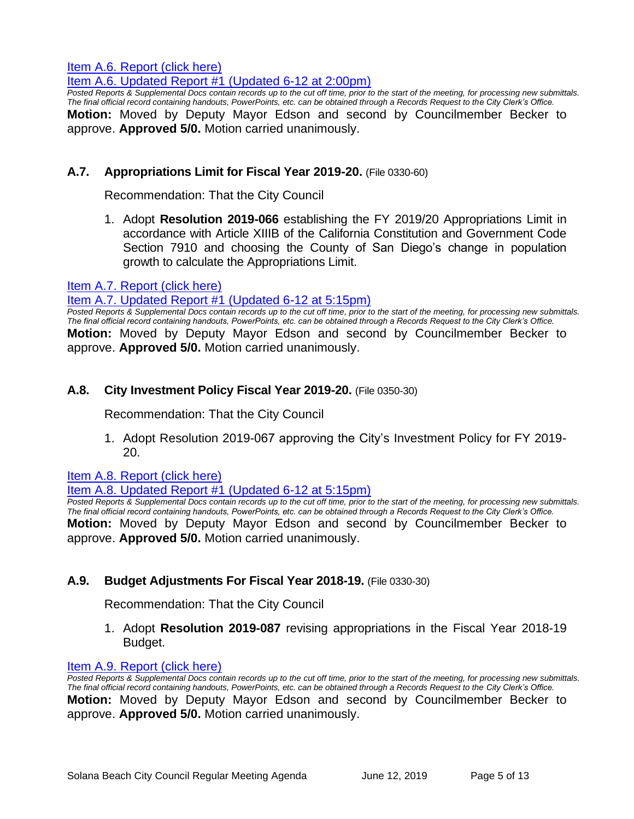Item A.6. Report (click here)

[Item A.6. Updated Report #1 \(Updated 6-12 at 2:00pm\)](https://solanabeach.govoffice3.com/vertical/Sites/%7B840804C2-F869-4904-9AE3-720581350CE7%7D/uploads/Item_A.6._Updated_Report_1_-_6-12-19_(2pm).pdf)

*Posted Reports & Supplemental Docs contain records up to the cut off time, prior to the start of the meeting, for processing new submittals. The final official record containing handouts, PowerPoints, etc. can be obtained through a Records Request to the City Clerk's Office.* **Motion:** Moved by Deputy Mayor Edson and second by Councilmember Becker to approve. **Approved 5/0.** Motion carried unanimously.

#### **A.7. Appropriations Limit for Fiscal Year 2019-20.** (File 0330-60)

Recommendation: That the City Council

1. Adopt **Resolution 2019-066** establishing the FY 2019/20 Appropriations Limit in accordance with Article XIIIB of the California Constitution and Government Code Section 7910 and choosing the County of San Diego's change in population growth to calculate the Appropriations Limit.

#### [Item A.7. Report \(click here\)](https://solanabeach.govoffice3.com/vertical/Sites/%7B840804C2-F869-4904-9AE3-720581350CE7%7D/uploads/Item_A.7._Report_(click_here)_06-12-19_-_O.pdf)

#### [Item A.7. Updated Report #1 \(Updated 6-12 at 5:15pm\)](https://solanabeach.govoffice3.com/vertical/Sites/%7B840804C2-F869-4904-9AE3-720581350CE7%7D/uploads/A.7._Updated_Report_1_(Updated_6-12_at_4pm).pdf)

*Posted Reports & Supplemental Docs contain records up to the cut off time, prior to the start of the meeting, for processing new submittals. The final official record containing handouts, PowerPoints, etc. can be obtained through a Records Request to the City Clerk's Office.* **Motion:** Moved by Deputy Mayor Edson and second by Councilmember Becker to approve. **Approved 5/0.** Motion carried unanimously.

#### **A.8. City Investment Policy Fiscal Year 2019-20.** (File 0350-30)

Recommendation: That the City Council

1. Adopt Resolution 2019-067 approving the City's Investment Policy for FY 2019- 20.

[Item A.8. Report \(click here\)](https://solanabeach.govoffice3.com/vertical/Sites/%7B840804C2-F869-4904-9AE3-720581350CE7%7D/uploads/Item_A.8._Report_(click_here)_06-12-19_-_O.pdf) 

#### [Item A.8. Updated Report #1 \(Updated 6-12 at 5:15pm\)](https://solanabeach.govoffice3.com/vertical/Sites/%7B840804C2-F869-4904-9AE3-720581350CE7%7D/uploads/Item_A.8._Updated_Report_1_(Updated_6-12_at_430pm).pdf)

*Posted Reports & Supplemental Docs contain records up to the cut off time, prior to the start of the meeting, for processing new submittals. The final official record containing handouts, PowerPoints, etc. can be obtained through a Records Request to the City Clerk's Office.* **Motion:** Moved by Deputy Mayor Edson and second by Councilmember Becker to approve. **Approved 5/0.** Motion carried unanimously.

#### **A.9. Budget Adjustments For Fiscal Year 2018-19.** (File 0330-30)

Recommendation: That the City Council

1. Adopt **Resolution 2019-087** revising appropriations in the Fiscal Year 2018-19 Budget.

#### [Item A.9. Report \(click here\)](https://solanabeach.govoffice3.com/vertical/Sites/%7B840804C2-F869-4904-9AE3-720581350CE7%7D/uploads/Item_A.9._Report_(click_here)_06-12-19_-_O(1).pdf)

*Posted Reports & Supplemental Docs contain records up to the cut off time, prior to the start of the meeting, for processing new submittals. The final official record containing handouts, PowerPoints, etc. can be obtained through a Records Request to the City Clerk's Office.* **Motion:** Moved by Deputy Mayor Edson and second by Councilmember Becker to approve. **Approved 5/0.** Motion carried unanimously.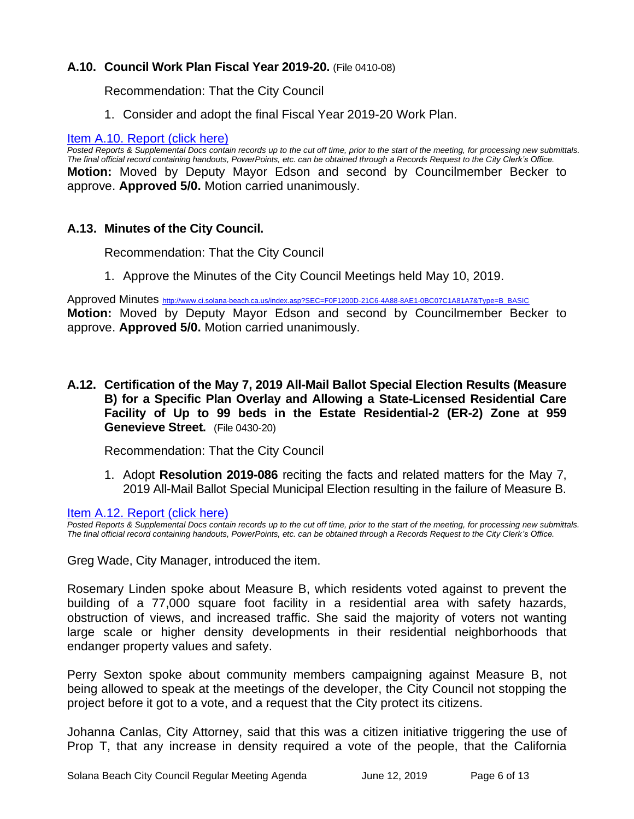# **A.10. Council Work Plan Fiscal Year 2019-20.** (File 0410-08)

Recommendation: That the City Council

1. Consider and adopt the final Fiscal Year 2019-20 Work Plan.

# [Item A.10. Report \(click here\)](https://solanabeach.govoffice3.com/vertical/Sites/%7B840804C2-F869-4904-9AE3-720581350CE7%7D/uploads/Item_A.10._Report_(click_here)_06-12-19_-_O(1).pdf)

*Posted Reports & Supplemental Docs contain records up to the cut off time, prior to the start of the meeting, for processing new submittals. The final official record containing handouts, PowerPoints, etc. can be obtained through a Records Request to the City Clerk's Office.* **Motion:** Moved by Deputy Mayor Edson and second by Councilmember Becker to approve. **Approved 5/0.** Motion carried unanimously.

# **A.13. Minutes of the City Council.**

Recommendation: That the City Council

1. Approve the Minutes of the City Council Meetings held May 10, 2019.

Approved Minutes [http://www.ci.solana-beach.ca.us/index.asp?SEC=F0F1200D-21C6-4A88-8AE1-0BC07C1A81A7&Type=B\\_BASIC](http://www.ci.solana-beach.ca.us/index.asp?SEC=F0F1200D-21C6-4A88-8AE1-0BC07C1A81A7&Type=B_BASIC) **Motion:** Moved by Deputy Mayor Edson and second by Councilmember Becker to approve. **Approved 5/0.** Motion carried unanimously.

**A.12. Certification of the May 7, 2019 All-Mail Ballot Special Election Results (Measure B) for a Specific Plan Overlay and Allowing a State-Licensed Residential Care Facility of Up to 99 beds in the Estate Residential-2 (ER-2) Zone at 959 Genevieve Street.** (File 0430-20)

Recommendation: That the City Council

1. Adopt **Resolution 2019-086** reciting the facts and related matters for the May 7, 2019 All-Mail Ballot Special Municipal Election resulting in the failure of Measure B.

[Item A.12. Report \(click here\)](https://solanabeach.govoffice3.com/vertical/Sites/%7B840804C2-F869-4904-9AE3-720581350CE7%7D/uploads/Item_A.12._Report_(click_here)_06-12-19_-_O.pdf) 

*Posted Reports & Supplemental Docs contain records up to the cut off time, prior to the start of the meeting, for processing new submittals. The final official record containing handouts, PowerPoints, etc. can be obtained through a Records Request to the City Clerk's Office.*

Greg Wade, City Manager, introduced the item.

Rosemary Linden spoke about Measure B, which residents voted against to prevent the building of a 77,000 square foot facility in a residential area with safety hazards, obstruction of views, and increased traffic. She said the majority of voters not wanting large scale or higher density developments in their residential neighborhoods that endanger property values and safety.

Perry Sexton spoke about community members campaigning against Measure B, not being allowed to speak at the meetings of the developer, the City Council not stopping the project before it got to a vote, and a request that the City protect its citizens.

Johanna Canlas, City Attorney, said that this was a citizen initiative triggering the use of Prop T, that any increase in density required a vote of the people, that the California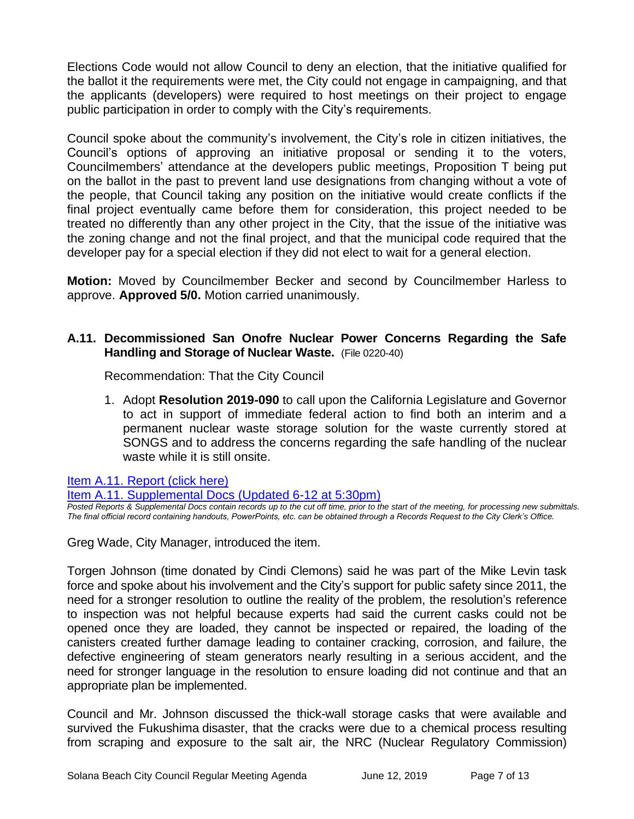Elections Code would not allow Council to deny an election, that the initiative qualified for the ballot it the requirements were met, the City could not engage in campaigning, and that the applicants (developers) were required to host meetings on their project to engage public participation in order to comply with the City's requirements.

Council spoke about the community's involvement, the City's role in citizen initiatives, the Council's options of approving an initiative proposal or sending it to the voters, Councilmembers' attendance at the developers public meetings, Proposition T being put on the ballot in the past to prevent land use designations from changing without a vote of the people, that Council taking any position on the initiative would create conflicts if the final project eventually came before them for consideration, this project needed to be treated no differently than any other project in the City, that the issue of the initiative was the zoning change and not the final project, and that the municipal code required that the developer pay for a special election if they did not elect to wait for a general election.

**Motion:** Moved by Councilmember Becker and second by Councilmember Harless to approve. **Approved 5/0.** Motion carried unanimously.

# **A.11. Decommissioned San Onofre Nuclear Power Concerns Regarding the Safe Handling and Storage of Nuclear Waste.** (File 0220-40)

Recommendation: That the City Council

1. Adopt **Resolution 2019-090** to call upon the California Legislature and Governor to act in support of immediate federal action to find both an interim and a permanent nuclear waste storage solution for the waste currently stored at SONGS and to address the concerns regarding the safe handling of the nuclear waste while it is still onsite.

[Item A.11. Report \(click here\)](https://solanabeach.govoffice3.com/vertical/Sites/%7B840804C2-F869-4904-9AE3-720581350CE7%7D/uploads/Item_A.11._Report_(click_here)_06-12-19_-_O.pdf) 

#### [Item A.11. Supplemental Docs \(Updated 6-12 at 5:30pm\)](https://solanabeach.govoffice3.com/vertical/Sites/%7B840804C2-F869-4904-9AE3-720581350CE7%7D/uploads/Item_A.11._Supplemental_Docs_(Updated_6-12_at_530pm).pdf)

*Posted Reports & Supplemental Docs contain records up to the cut off time, prior to the start of the meeting, for processing new submittals. The final official record containing handouts, PowerPoints, etc. can be obtained through a Records Request to the City Clerk's Office.*

Greg Wade, City Manager, introduced the item.

Torgen Johnson (time donated by Cindi Clemons) said he was part of the Mike Levin task force and spoke about his involvement and the City's support for public safety since 2011, the need for a stronger resolution to outline the reality of the problem, the resolution's reference to inspection was not helpful because experts had said the current casks could not be opened once they are loaded, they cannot be inspected or repaired, the loading of the canisters created further damage leading to container cracking, corrosion, and failure, the defective engineering of steam generators nearly resulting in a serious accident, and the need for stronger language in the resolution to ensure loading did not continue and that an appropriate plan be implemented.

Council and Mr. Johnson discussed the thick-wall storage casks that were available and survived the Fukushima disaster, that the cracks were due to a chemical process resulting from scraping and exposure to the salt air, the NRC (Nuclear Regulatory Commission)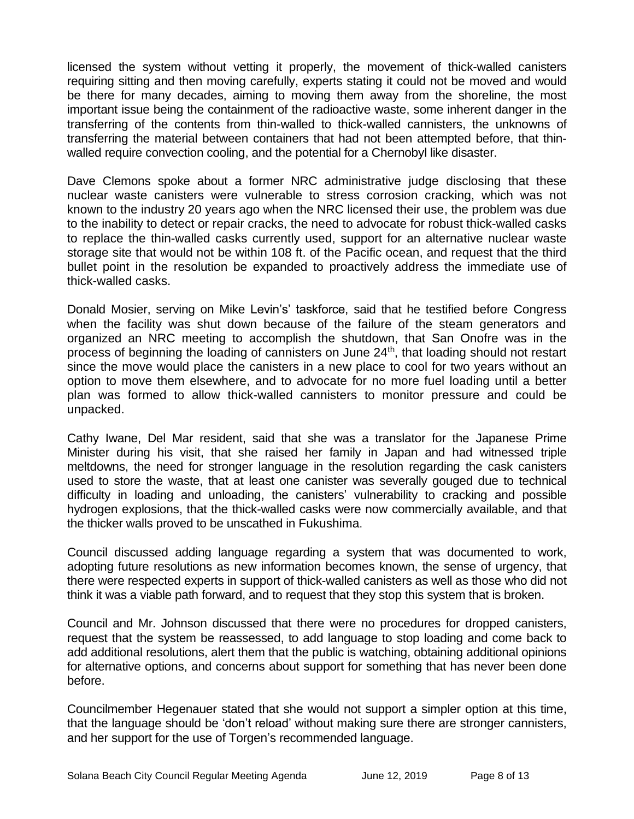licensed the system without vetting it properly, the movement of thick-walled canisters requiring sitting and then moving carefully, experts stating it could not be moved and would be there for many decades, aiming to moving them away from the shoreline, the most important issue being the containment of the radioactive waste, some inherent danger in the transferring of the contents from thin-walled to thick-walled cannisters, the unknowns of transferring the material between containers that had not been attempted before, that thinwalled require convection cooling, and the potential for a Chernobyl like disaster.

Dave Clemons spoke about a former NRC administrative judge disclosing that these nuclear waste canisters were vulnerable to stress corrosion cracking, which was not known to the industry 20 years ago when the NRC licensed their use, the problem was due to the inability to detect or repair cracks, the need to advocate for robust thick-walled casks to replace the thin-walled casks currently used, support for an alternative nuclear waste storage site that would not be within 108 ft. of the Pacific ocean, and request that the third bullet point in the resolution be expanded to proactively address the immediate use of thick-walled casks.

Donald Mosier, serving on Mike Levin's' taskforce, said that he testified before Congress when the facility was shut down because of the failure of the steam generators and organized an NRC meeting to accomplish the shutdown, that San Onofre was in the process of beginning the loading of cannisters on June 24<sup>th</sup>, that loading should not restart since the move would place the canisters in a new place to cool for two years without an option to move them elsewhere, and to advocate for no more fuel loading until a better plan was formed to allow thick-walled cannisters to monitor pressure and could be unpacked.

Cathy Iwane, Del Mar resident, said that she was a translator for the Japanese Prime Minister during his visit, that she raised her family in Japan and had witnessed triple meltdowns, the need for stronger language in the resolution regarding the cask canisters used to store the waste, that at least one canister was severally gouged due to technical difficulty in loading and unloading, the canisters' vulnerability to cracking and possible hydrogen explosions, that the thick-walled casks were now commercially available, and that the thicker walls proved to be unscathed in Fukushima.

Council discussed adding language regarding a system that was documented to work, adopting future resolutions as new information becomes known, the sense of urgency, that there were respected experts in support of thick-walled canisters as well as those who did not think it was a viable path forward, and to request that they stop this system that is broken.

Council and Mr. Johnson discussed that there were no procedures for dropped canisters, request that the system be reassessed, to add language to stop loading and come back to add additional resolutions, alert them that the public is watching, obtaining additional opinions for alternative options, and concerns about support for something that has never been done before.

Councilmember Hegenauer stated that she would not support a simpler option at this time, that the language should be 'don't reload' without making sure there are stronger cannisters, and her support for the use of Torgen's recommended language.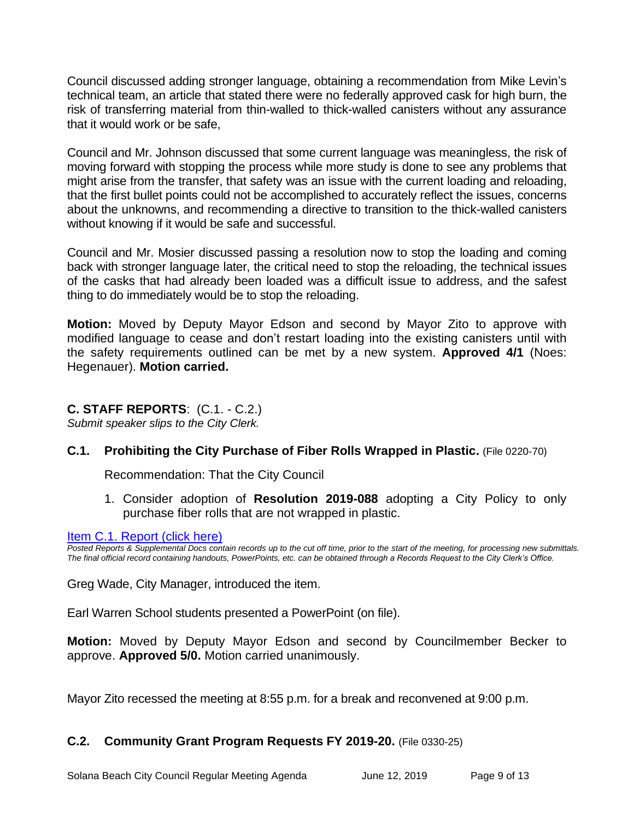Council discussed adding stronger language, obtaining a recommendation from Mike Levin's technical team, an article that stated there were no federally approved cask for high burn, the risk of transferring material from thin-walled to thick-walled canisters without any assurance that it would work or be safe,

Council and Mr. Johnson discussed that some current language was meaningless, the risk of moving forward with stopping the process while more study is done to see any problems that might arise from the transfer, that safety was an issue with the current loading and reloading, that the first bullet points could not be accomplished to accurately reflect the issues, concerns about the unknowns, and recommending a directive to transition to the thick-walled canisters without knowing if it would be safe and successful.

Council and Mr. Mosier discussed passing a resolution now to stop the loading and coming back with stronger language later, the critical need to stop the reloading, the technical issues of the casks that had already been loaded was a difficult issue to address, and the safest thing to do immediately would be to stop the reloading.

**Motion:** Moved by Deputy Mayor Edson and second by Mayor Zito to approve with modified language to cease and don't restart loading into the existing canisters until with the safety requirements outlined can be met by a new system. **Approved 4/1** (Noes: Hegenauer). **Motion carried.**

# **C. STAFF REPORTS**: (C.1. - C.2.)

*Submit speaker slips to the City Clerk.*

# **C.1. Prohibiting the City Purchase of Fiber Rolls Wrapped in Plastic.** (File 0220-70)

Recommendation: That the City Council

1. Consider adoption of **Resolution 2019-088** adopting a City Policy to only purchase fiber rolls that are not wrapped in plastic.

[Item C.1. Report \(click here\)](https://solanabeach.govoffice3.com/vertical/Sites/%7B840804C2-F869-4904-9AE3-720581350CE7%7D/uploads/Item_C.1._Report_(click_here)_06-12-19_-_O.pdf) 

*Posted Reports & Supplemental Docs contain records up to the cut off time, prior to the start of the meeting, for processing new submittals. The final official record containing handouts, PowerPoints, etc. can be obtained through a Records Request to the City Clerk's Office.*

Greg Wade, City Manager, introduced the item.

Earl Warren School students presented a PowerPoint (on file).

**Motion:** Moved by Deputy Mayor Edson and second by Councilmember Becker to approve. **Approved 5/0.** Motion carried unanimously.

Mayor Zito recessed the meeting at 8:55 p.m. for a break and reconvened at 9:00 p.m.

# **C.2. Community Grant Program Requests FY 2019-20.** (File 0330-25)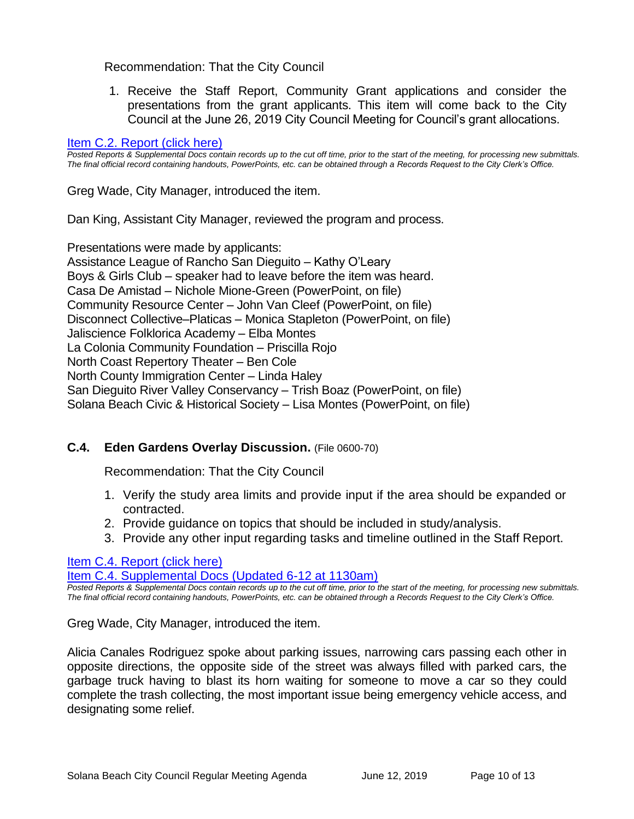# Recommendation: That the City Council

1. Receive the Staff Report, Community Grant applications and consider the presentations from the grant applicants. This item will come back to the City Council at the June 26, 2019 City Council Meeting for Council's grant allocations.

#### [Item C.2. Report \(click here\)](https://solanabeach.govoffice3.com/vertical/Sites/%7B840804C2-F869-4904-9AE3-720581350CE7%7D/uploads/Item_C.2._Report_(click_here)_06-12-19_-_O(1).pdf)

*Posted Reports & Supplemental Docs contain records up to the cut off time, prior to the start of the meeting, for processing new submittals. The final official record containing handouts, PowerPoints, etc. can be obtained through a Records Request to the City Clerk's Office.*

Greg Wade, City Manager, introduced the item.

Dan King, Assistant City Manager, reviewed the program and process.

Presentations were made by applicants: Assistance League of Rancho San Dieguito – Kathy O'Leary Boys & Girls Club – speaker had to leave before the item was heard. Casa De Amistad – Nichole Mione-Green (PowerPoint, on file) Community Resource Center – John Van Cleef (PowerPoint, on file) Disconnect Collective–Platicas – Monica Stapleton (PowerPoint, on file) Jaliscience Folklorica Academy – Elba Montes La Colonia Community Foundation – Priscilla Rojo North Coast Repertory Theater – Ben Cole North County Immigration Center – Linda Haley San Dieguito River Valley Conservancy – Trish Boaz (PowerPoint, on file) Solana Beach Civic & Historical Society – Lisa Montes (PowerPoint, on file)

# **C.4. Eden Gardens Overlay Discussion.** (File 0600-70)

Recommendation: That the City Council

- 1. Verify the study area limits and provide input if the area should be expanded or contracted.
- 2. Provide guidance on topics that should be included in study/analysis.
- 3. Provide any other input regarding tasks and timeline outlined in the Staff Report.

[Item C.4. Report \(click here\)](https://solanabeach.govoffice3.com/vertical/Sites/%7B840804C2-F869-4904-9AE3-720581350CE7%7D/uploads/Item_C.4._Report_(click_here)_06-12-19_-_O.pdf) 

[Item C.4. Supplemental Docs \(Updated 6-12 at 1130am\)](https://www.ci.solana-beach.ca.us/vertical/Sites/%7B840804C2-F869-4904-9AE3-720581350CE7%7D/uploads/Item_C.4._Supplemental_Docs_(updated_6-12_-_1040am).pdf)

*Posted Reports & Supplemental Docs contain records up to the cut off time, prior to the start of the meeting, for processing new submittals. The final official record containing handouts, PowerPoints, etc. can be obtained through a Records Request to the City Clerk's Office.*

Greg Wade, City Manager, introduced the item.

Alicia Canales Rodriguez spoke about parking issues, narrowing cars passing each other in opposite directions, the opposite side of the street was always filled with parked cars, the garbage truck having to blast its horn waiting for someone to move a car so they could complete the trash collecting, the most important issue being emergency vehicle access, and designating some relief.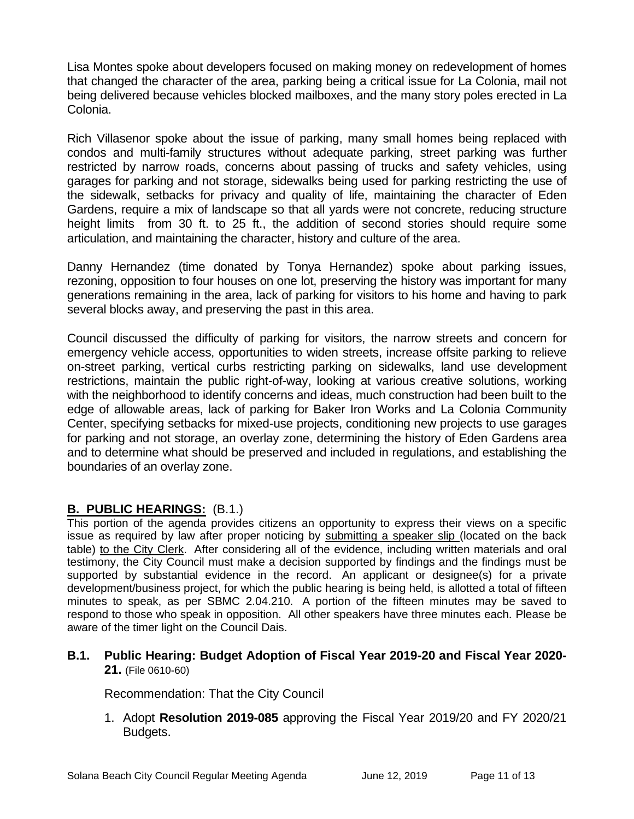Lisa Montes spoke about developers focused on making money on redevelopment of homes that changed the character of the area, parking being a critical issue for La Colonia, mail not being delivered because vehicles blocked mailboxes, and the many story poles erected in La Colonia.

Rich Villasenor spoke about the issue of parking, many small homes being replaced with condos and multi-family structures without adequate parking, street parking was further restricted by narrow roads, concerns about passing of trucks and safety vehicles, using garages for parking and not storage, sidewalks being used for parking restricting the use of the sidewalk, setbacks for privacy and quality of life, maintaining the character of Eden Gardens, require a mix of landscape so that all yards were not concrete, reducing structure height limits from 30 ft. to 25 ft., the addition of second stories should require some articulation, and maintaining the character, history and culture of the area.

Danny Hernandez (time donated by Tonya Hernandez) spoke about parking issues, rezoning, opposition to four houses on one lot, preserving the history was important for many generations remaining in the area, lack of parking for visitors to his home and having to park several blocks away, and preserving the past in this area.

Council discussed the difficulty of parking for visitors, the narrow streets and concern for emergency vehicle access, opportunities to widen streets, increase offsite parking to relieve on-street parking, vertical curbs restricting parking on sidewalks, land use development restrictions, maintain the public right-of-way, looking at various creative solutions, working with the neighborhood to identify concerns and ideas, much construction had been built to the edge of allowable areas, lack of parking for Baker Iron Works and La Colonia Community Center, specifying setbacks for mixed-use projects, conditioning new projects to use garages for parking and not storage, an overlay zone, determining the history of Eden Gardens area and to determine what should be preserved and included in regulations, and establishing the boundaries of an overlay zone.

# **B. PUBLIC HEARINGS:** (B.1.)

This portion of the agenda provides citizens an opportunity to express their views on a specific issue as required by law after proper noticing by submitting a speaker slip (located on the back table) to the City Clerk. After considering all of the evidence, including written materials and oral testimony, the City Council must make a decision supported by findings and the findings must be supported by substantial evidence in the record. An applicant or designee(s) for a private development/business project, for which the public hearing is being held, is allotted a total of fifteen minutes to speak, as per SBMC 2.04.210. A portion of the fifteen minutes may be saved to respond to those who speak in opposition. All other speakers have three minutes each. Please be aware of the timer light on the Council Dais.

# **B.1. Public Hearing: Budget Adoption of Fiscal Year 2019-20 and Fiscal Year 2020- 21.** (File 0610-60)

Recommendation: That the City Council

1. Adopt **Resolution 2019-085** approving the Fiscal Year 2019/20 and FY 2020/21 Budgets.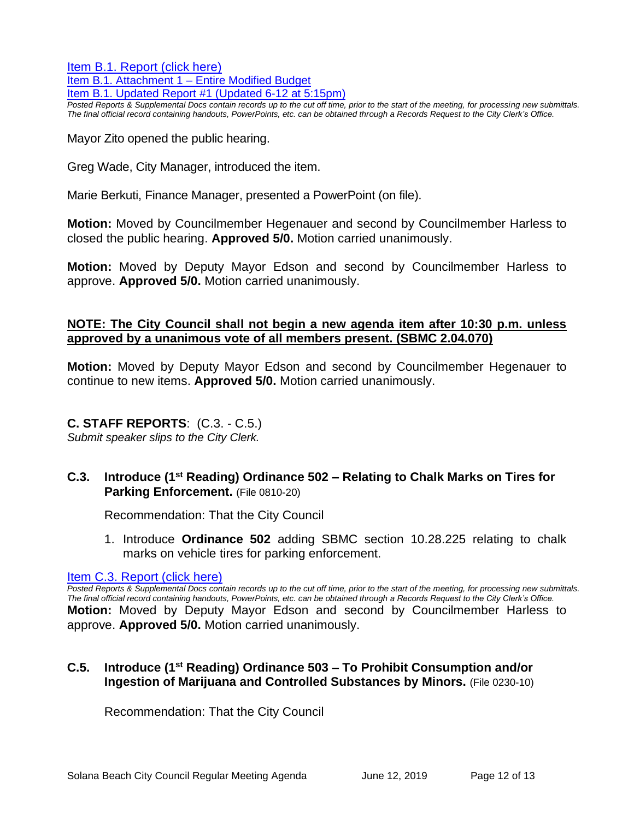[Item B.1. Report \(click here\)](https://solanabeach.govoffice3.com/vertical/Sites/%7B840804C2-F869-4904-9AE3-720581350CE7%7D/uploads/Item_B.1._Report_(click_here)_06-12-19_-_O(1).pdf)  [Item B.1. Attachment 1 –](https://solanabeach.govoffice3.com/vertical/Sites/%7B840804C2-F869-4904-9AE3-720581350CE7%7D/uploads/Item_B.1._Rep_Attchmt_1_Entire_Amended_Budget_-_O.pdf) Entire Modified Budget [Item B.1. Updated Report #1 \(Updated 6-12 at 5:15pm\)](https://solanabeach.govoffice3.com/vertical/Sites/%7B840804C2-F869-4904-9AE3-720581350CE7%7D/uploads/Item_B.1._Updated_Report_1_(Updated_6-12_at_420pm).pdf)

*Posted Reports & Supplemental Docs contain records up to the cut off time, prior to the start of the meeting, for processing new submittals. The final official record containing handouts, PowerPoints, etc. can be obtained through a Records Request to the City Clerk's Office.*

Mayor Zito opened the public hearing.

Greg Wade, City Manager, introduced the item.

Marie Berkuti, Finance Manager, presented a PowerPoint (on file).

**Motion:** Moved by Councilmember Hegenauer and second by Councilmember Harless to closed the public hearing. **Approved 5/0.** Motion carried unanimously.

**Motion:** Moved by Deputy Mayor Edson and second by Councilmember Harless to approve. **Approved 5/0.** Motion carried unanimously.

# **NOTE: The City Council shall not begin a new agenda item after 10:30 p.m. unless approved by a unanimous vote of all members present. (SBMC 2.04.070)**

**Motion:** Moved by Deputy Mayor Edson and second by Councilmember Hegenauer to continue to new items. **Approved 5/0.** Motion carried unanimously.

# **C. STAFF REPORTS**: (C.3. - C.5.)

*Submit speaker slips to the City Clerk.*

#### **C.3. Introduce (1st Reading) Ordinance 502 – Relating to Chalk Marks on Tires for Parking Enforcement.** (File 0810-20)

Recommendation: That the City Council

1. Introduce **Ordinance 502** adding SBMC section 10.28.225 relating to chalk marks on vehicle tires for parking enforcement.

[Item C.3. Report \(click here\)](https://solanabeach.govoffice3.com/vertical/Sites/%7B840804C2-F869-4904-9AE3-720581350CE7%7D/uploads/Item_C.3._Report_(click_here)_06-12-19_-_O.pdf) 

*Posted Reports & Supplemental Docs contain records up to the cut off time, prior to the start of the meeting, for processing new submittals. The final official record containing handouts, PowerPoints, etc. can be obtained through a Records Request to the City Clerk's Office.* **Motion:** Moved by Deputy Mayor Edson and second by Councilmember Harless to approve. **Approved 5/0.** Motion carried unanimously.

# **C.5. Introduce (1st Reading) Ordinance 503 – To Prohibit Consumption and/or Ingestion of Marijuana and Controlled Substances by Minors.** (File 0230-10)

Recommendation: That the City Council